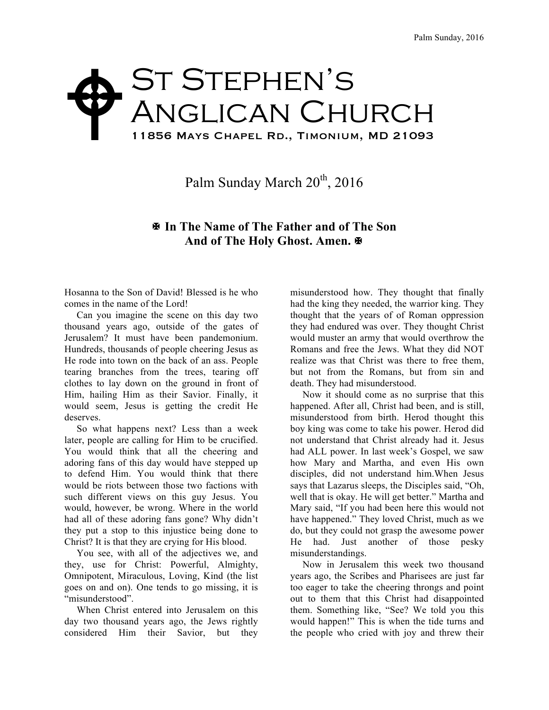## ST STEPHEN'S Anglican Church 11856 Mays Chapel Rd., Timonium, MD 21093  $\blacklozenge$

Palm Sunday March  $20^{th}$ ,  $2016$ 

## X **In The Name of The Father and of The Son And of The Holy Ghost. Amen.** X

Hosanna to the Son of David! Blessed is he who comes in the name of the Lord!

 Can you imagine the scene on this day two thousand years ago, outside of the gates of Jerusalem? It must have been pandemonium. Hundreds, thousands of people cheering Jesus as He rode into town on the back of an ass. People tearing branches from the trees, tearing off clothes to lay down on the ground in front of Him, hailing Him as their Savior. Finally, it would seem, Jesus is getting the credit He deserves.

 So what happens next? Less than a week later, people are calling for Him to be crucified. You would think that all the cheering and adoring fans of this day would have stepped up to defend Him. You would think that there would be riots between those two factions with such different views on this guy Jesus. You would, however, be wrong. Where in the world had all of these adoring fans gone? Why didn't they put a stop to this injustice being done to Christ? It is that they are crying for His blood.

 You see, with all of the adjectives we, and they, use for Christ: Powerful, Almighty, Omnipotent, Miraculous, Loving, Kind (the list goes on and on). One tends to go missing, it is "misunderstood".

 When Christ entered into Jerusalem on this day two thousand years ago, the Jews rightly considered Him their Savior, but they

misunderstood how. They thought that finally had the king they needed, the warrior king. They thought that the years of of Roman oppression they had endured was over. They thought Christ would muster an army that would overthrow the Romans and free the Jews. What they did NOT realize was that Christ was there to free them, but not from the Romans, but from sin and death. They had misunderstood.

 Now it should come as no surprise that this happened. After all, Christ had been, and is still, misunderstood from birth. Herod thought this boy king was come to take his power. Herod did not understand that Christ already had it. Jesus had ALL power. In last week's Gospel, we saw how Mary and Martha, and even His own disciples, did not understand him.When Jesus says that Lazarus sleeps, the Disciples said, "Oh, well that is okay. He will get better." Martha and Mary said, "If you had been here this would not have happened." They loved Christ, much as we do, but they could not grasp the awesome power He had. Just another of those pesky misunderstandings.

 Now in Jerusalem this week two thousand years ago, the Scribes and Pharisees are just far too eager to take the cheering throngs and point out to them that this Christ had disappointed them. Something like, "See? We told you this would happen!" This is when the tide turns and the people who cried with joy and threw their